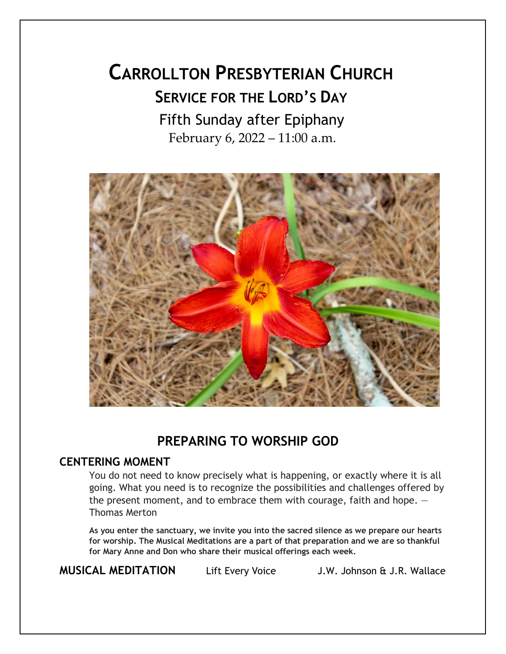# **CARROLLTON PRESBYTERIAN CHURCH SERVICE FOR THE LORD'S DAY** Fifth Sunday after Epiphany February 6, 2022 – 11:00 a.m.



# **PREPARING TO WORSHIP GOD**

#### **CENTERING MOMENT**

You do not need to know precisely what is happening, or exactly where it is all going. What you need is to recognize the possibilities and challenges offered by the present moment, and to embrace them with courage, faith and hope.  $-$ Thomas Merton

**As you enter the sanctuary, we invite you into the sacred silence as we prepare our hearts for worship. The Musical Meditations are a part of that preparation and we are so thankful for Mary Anne and Don who share their musical offerings each week.**

**MUSICAL MEDITATION** Lift Every Voice J.W. Johnson & J.R. Wallace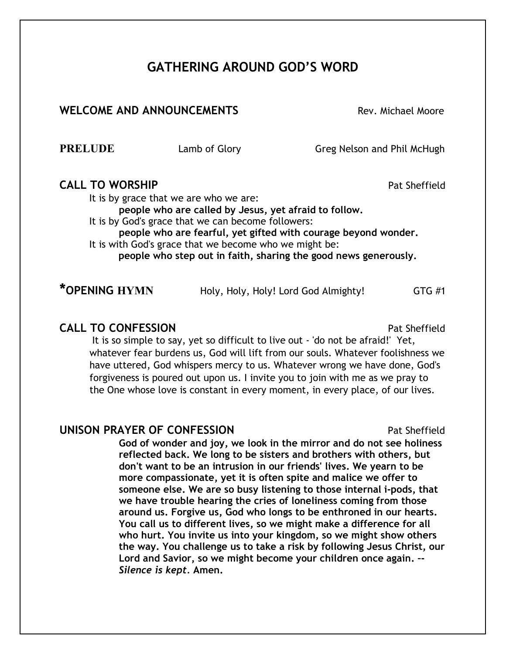# **GATHERING AROUND GOD'S WORD**

#### **WELCOME AND ANNOUNCEMENTS** Not rev. Michael Moore

**PRELUDE** Lamb of Glory Greg Nelson and Phil McHugh

#### **CALL TO WORSHIP Pat Sheffield**

It is by grace that we are who we are:

**people who are called by Jesus, yet afraid to follow.** It is by God's grace that we can become followers:

**people who are fearful, yet gifted with courage beyond wonder.**

It is with God's grace that we become who we might be: **people who step out in faith, sharing the good news generously.**

**\*OPENING HYMN** Holy, Holy, Holy! Lord God Almighty! GTG #1

#### **CALL TO CONFESSION**

It is so simple to say, yet so difficult to live out - 'do not be afraid!' Yet, whatever fear burdens us, God will lift from our souls. Whatever foolishness we have uttered, God whispers mercy to us. Whatever wrong we have done, God's forgiveness is poured out upon us. I invite you to join with me as we pray to the One whose love is constant in every moment, in every place, of our lives.

#### **UNISON PRAYER OF CONFESSION Pat Sheffield**

**God of wonder and joy, we look in the mirror and do not see holiness reflected back. We long to be sisters and brothers with others, but don't want to be an intrusion in our friends' lives. We yearn to be more compassionate, yet it is often spite and malice we offer to someone else. We are so busy listening to those internal i-pods, that we have trouble hearing the cries of loneliness coming from those around us. Forgive us, God who longs to be enthroned in our hearts. You call us to different lives, so we might make a difference for all who hurt. You invite us into your kingdom, so we might show others the way. You challenge us to take a risk by following Jesus Christ, our Lord and Savior, so we might become your children once again. –-** *Silence is kept.* **Amen.**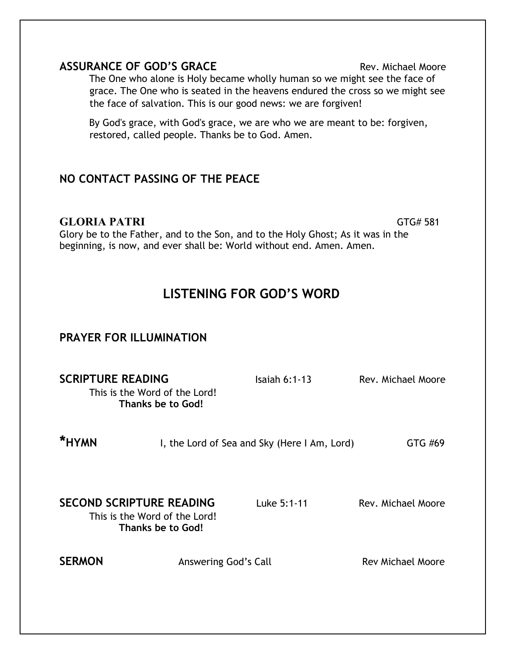| <b>GLORIA PATRI</b><br>Glory be to the Father, and to the Son, and to the Holy Ghost; As it was in the<br>beginning, is now, and ever shall be: World without end. Amen. Amen. |  |                                              | GTG# 581           |
|--------------------------------------------------------------------------------------------------------------------------------------------------------------------------------|--|----------------------------------------------|--------------------|
| <b>LISTENING FOR GOD'S WORD</b>                                                                                                                                                |  |                                              |                    |
| PRAYER FOR ILLUMINATION                                                                                                                                                        |  |                                              |                    |
| <b>SCRIPTURE READING</b><br>This is the Word of the Lord!<br>Thanks be to God!                                                                                                 |  | Isaiah $6:1-13$                              | Rev. Michael Moore |
| <b>*HYMN</b>                                                                                                                                                                   |  | I, the Lord of Sea and Sky (Here I Am, Lord) | GTG #69            |

**ASSURANCE OF GOD'S GRACE Rev. Michael Moore Rev. Michael Moore** The One who alone is Holy became wholly human so we might see the face of grace. The One who is seated in the heavens endured the cross so we might see

By God's grace, with God's grace, we are who we are meant to be: forgiven,

the face of salvation. This is our good news: we are forgiven!

restored, called people. Thanks be to God. Amen.

**NO CONTACT PASSING OF THE PEACE**

**SECOND SCRIPTURE READING** Luke 5:1-11 Rev. Michael Moore

This is the Word of the Lord! **Thanks be to God!**

**SERMON** Answering God's Call **Rev Michael Moore**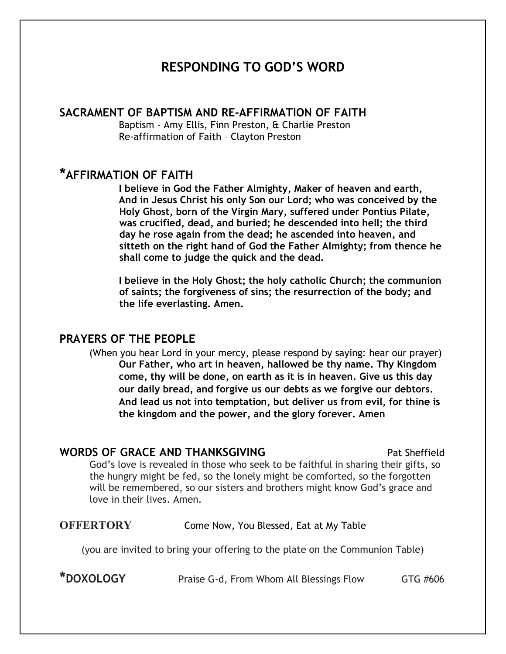## **RESPONDING TO GOD'S WORD**

#### **SACRAMENT OF BAPTISM AND RE-AFFIRMATION OF FAITH**

Baptism - Amy Ellis, Finn Preston, & Charlie Preston Re-affirmation of Faith – Clayton Preston

### **\*AFFIRMATION OF FAITH**

**I believe in God the Father Almighty, Maker of heaven and earth, And in Jesus Christ his only Son our Lord; who was conceived by the Holy Ghost, born of the Virgin Mary, suffered under Pontius Pilate, was crucified, dead, and buried; he descended into hell; the third day he rose again from the dead; he ascended into heaven, and sitteth on the right hand of God the Father Almighty; from thence he shall come to judge the quick and the dead.** 

**I believe in the Holy Ghost; the holy catholic Church; the communion of saints; the forgiveness of sins; the resurrection of the body; and the life everlasting. Amen.** 

#### **PRAYERS OF THE PEOPLE**

(When you hear Lord in your mercy, please respond by saying: hear our prayer) **Our Father, who art in heaven, hallowed be thy name. Thy Kingdom come, thy will be done, on earth as it is in heaven. Give us this day our daily bread, and forgive us our debts as we forgive our debtors. And lead us not into temptation, but deliver us from evil, for thine is the kingdom and the power, and the glory forever. Amen** 

#### **WORDS OF GRACE AND THANKSGIVING** Pat Sheffield

God's love is revealed in those who seek to be faithful in sharing their gifts, so the hungry might be fed, so the lonely might be comforted, so the forgotten will be remembered, so our sisters and brothers might know God's grace and love in their lives. Amen.

#### **OFFERTORY** Come Now, You Blessed, Eat at My Table

(you are invited to bring your offering to the plate on the Communion Table)

**\*DOXOLOGY** Praise G-d, From Whom All Blessings Flow GTG #606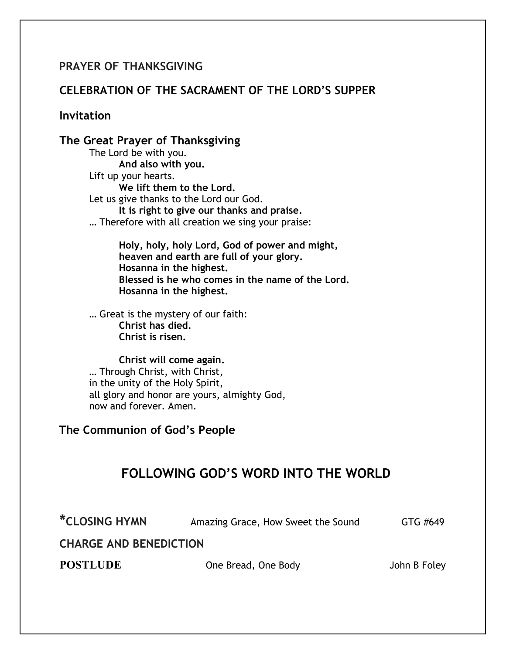#### **PRAYER OF THANKSGIVING**

#### **CELEBRATION OF THE SACRAMENT OF THE LORD'S SUPPER**

**Invitation**

#### **The Great Prayer of Thanksgiving**

The Lord be with you. **And also with you.** Lift up your hearts. **We lift them to the Lord.** Let us give thanks to the Lord our God. **It is right to give our thanks and praise.** … Therefore with all creation we sing your praise:

> **Holy, holy, holy Lord, God of power and might, heaven and earth are full of your glory. Hosanna in the highest. Blessed is he who comes in the name of the Lord. Hosanna in the highest.**

… Great is the mystery of our faith: **Christ has died. Christ is risen.**

**Christ will come again.** … Through Christ, with Christ, in the unity of the Holy Spirit, all glory and honor are yours, almighty God, now and forever. Amen.

#### **The Communion of God's People**

# **FOLLOWING GOD'S WORD INTO THE WORLD**

**\*CLOSING HYMN** Amazing Grace, How Sweet the Sound GTG #649

**CHARGE AND BENEDICTION**

**POSTLUDE One Bread, One Body** John B Foley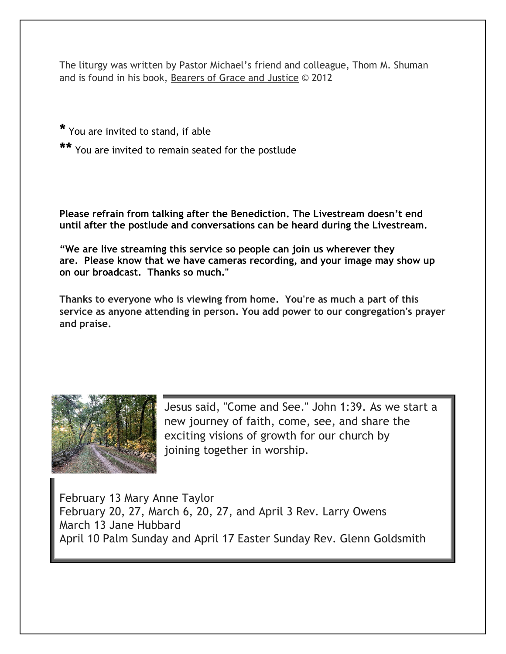The liturgy was written by Pastor Michael's friend and colleague, Thom M. Shuman and is found in his book, Bearers of Grace and Justice © 2012

**\*** You are invited to stand, if able

**\*\*** You are invited to remain seated for the postlude

**Please refrain from talking after the Benediction. The Livestream doesn't end until after the postlude and conversations can be heard during the Livestream.**

**"We are live streaming this service so people can join us wherever they are. Please know that we have cameras recording, and your image may show up on our broadcast. Thanks so much."**

**Thanks to everyone who is viewing from home. You're as much a part of this service as anyone attending in person. You add power to our congregation's prayer and praise.** 



Jesus said, "Come and See." John 1:39. As we start a new journey of faith, come, see, and share the exciting visions of growth for our church by joining together in worship.

February 13 Mary Anne Taylor February 20, 27, March 6, 20, 27, and April 3 Rev. Larry Owens March 13 Jane Hubbard April 10 Palm Sunday and April 17 Easter Sunday Rev. Glenn Goldsmith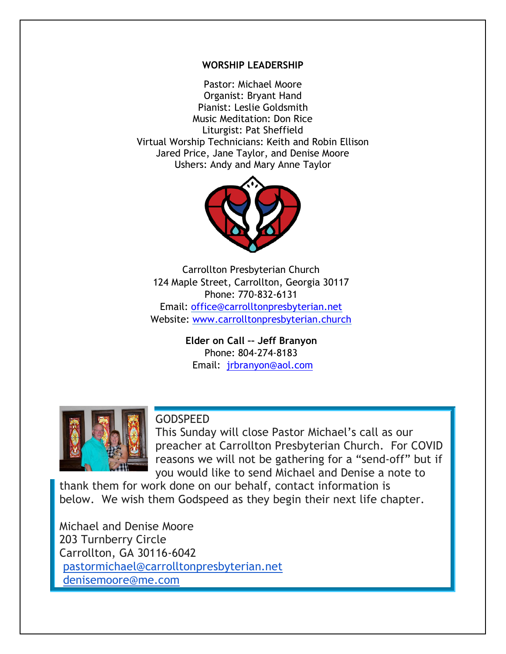#### **WORSHIP LEADERSHIP**

Pastor: Michael Moore Organist: Bryant Hand Pianist: Leslie Goldsmith Music Meditation: Don Rice Liturgist: Pat Sheffield Virtual Worship Technicians: Keith and Robin Ellison Jared Price, Jane Taylor, and Denise Moore Ushers: Andy and Mary Anne Taylor



Carrollton Presbyterian Church 124 Maple Street, Carrollton, Georgia 30117 Phone: 770-832-6131 Email: office@carrolltonpresbyterian.net Website: www.carrolltonpresbyterian.church

> **Elder on Call –– Jeff Branyon** Phone: 804-274-8183 Email: jrbranyon@aol.com



#### **GODSPEED**

This Sunday will close Pastor Michael's call as our preacher at Carrollton Presbyterian Church. For COVID reasons we will not be gathering for a "send-off" but if you would like to send Michael and Denise a note to

thank them for work done on our behalf, contact information is below. We wish them Godspeed as they begin their next life chapter.

Michael and Denise Moore 203 Turnberry Circle Carrollton, GA 30116-6042 pastormichael@carrolltonpresbyterian.net denisemoore@me.com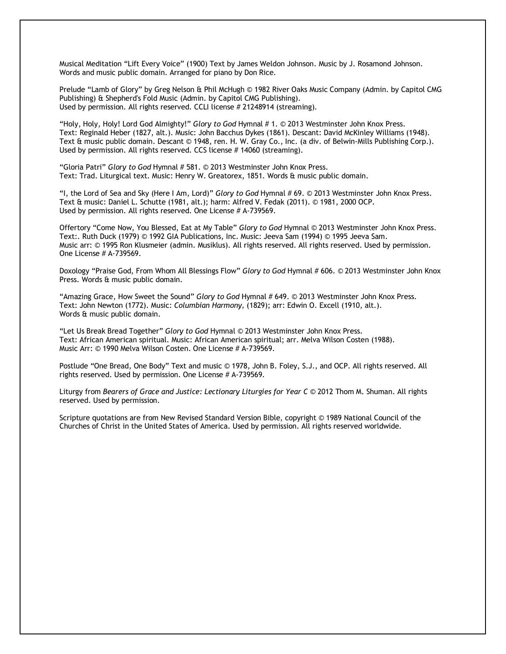Musical Meditation "Lift Every Voice" (1900) Text by James Weldon Johnson. Music by J. Rosamond Johnson. Words and music public domain. Arranged for piano by Don Rice.

Prelude "Lamb of Glory" by Greg Nelson & Phil McHugh © 1982 River Oaks Music Company (Admin. by Capitol CMG Publishing) & Shepherd's Fold Music (Admin. by Capitol CMG Publishing). Used by permission. All rights reserved. CCLI license # 21248914 (streaming).

"Holy, Holy, Holy! Lord God Almighty!" *Glory to God* Hymnal # 1. © 2013 Westminster John Knox Press. Text: Reginald Heber (1827, alt.). Music: John Bacchus Dykes (1861). Descant: David McKinley Williams (1948). Text & music public domain. Descant © 1948, ren. H. W. Gray Co., Inc. (a div. of Belwin-Mills Publishing Corp.). Used by permission. All rights reserved. CCS license # 14060 (streaming).

"Gloria Patri" *Glory to God* Hymnal # 581. © 2013 Westminster John Knox Press. Text: Trad. Liturgical text. Music: Henry W. Greatorex, 1851. Words & music public domain.

"I, the Lord of Sea and Sky (Here I Am, Lord)" *Glory to God* Hymnal # 69. © 2013 Westminster John Knox Press. Text & music: Daniel L. Schutte (1981, alt.); harm: Alfred V. Fedak (2011). © 1981, 2000 OCP. Used by permission. All rights reserved. One License # A-739569.

Offertory "Come Now, You Blessed, Eat at My Table" *Glory to God* Hymnal © 2013 Westminster John Knox Press. Text:. Ruth Duck (1979) © 1992 GIA Publications, Inc. Music: Jeeva Sam (1994) © 1995 Jeeva Sam. Music arr: © 1995 Ron Klusmeier (admin. Musiklus). All rights reserved. All rights reserved. Used by permission. One License # A-739569.

Doxology "Praise God, From Whom All Blessings Flow" *Glory to God* Hymnal # 606. © 2013 Westminster John Knox Press. Words & music public domain.

"Amazing Grace, How Sweet the Sound" *Glory to God* Hymnal # 649. © 2013 Westminster John Knox Press. Text: John Newton (1772). Music: *Columbian Harmony,* (1829); arr: Edwin O. Excell (1910, alt.). Words & music public domain.

"Let Us Break Bread Together" *Glory to God* Hymnal © 2013 Westminster John Knox Press. Text: African American spiritual. Music: African American spiritual; arr. Melva Wilson Costen (1988). Music Arr: © 1990 Melva Wilson Costen. One License # A-739569.

Postlude "One Bread, One Body" Text and music © 1978, John B. Foley, S.J., and OCP. All rights reserved. All rights reserved. Used by permission. One License # A-739569.

Liturgy from *Bearers of Grace and Justice: Lectionary Liturgies for Year C* © 2012 Thom M. Shuman. All rights reserved. Used by permission.

Scripture quotations are from New Revised Standard Version Bible, copyright © 1989 National Council of the Churches of Christ in the United States of America. Used by permission. All rights reserved worldwide.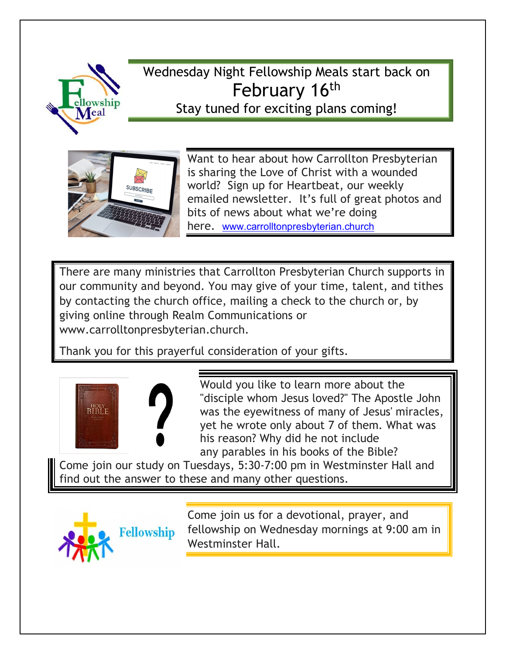

# Wednesday Night Fellowship Meals start back on February 16<sup>th</sup> Stay tuned for exciting plans coming!



Want to hear about how Carrollton Presbyterian is sharing the Love of Christ with a wounded world? Sign up for Heartbeat, our weekly emailed newsletter. It's full of great photos and bits of news about what we're doing here. www.carrolltonpresbyterian.church

There are many ministries that Carrollton Presbyterian Church supports in our community and beyond. You may give of your time, talent, and tithes by contacting the church office, mailing a check to the church or, by giving online through Realm Communications or www.carrolltonpresbyterian.church.

Thank you for this prayerful consideration of your gifts.



Would you like to learn more about the "disciple whom Jesus loved?" The Apostle John was the eyewitness of many of Jesus' miracles, yet he wrote only about 7 of them. What was his reason? Why did he not include any parables in his books of the Bible?

Come join our study on Tuesdays, 5:30-7:00 pm in Westminster Hall and find out the answer to these and many other questions.



Come join us for a devotional, prayer, and fellowship on Wednesday mornings at 9:00 am in Westminster Hall.